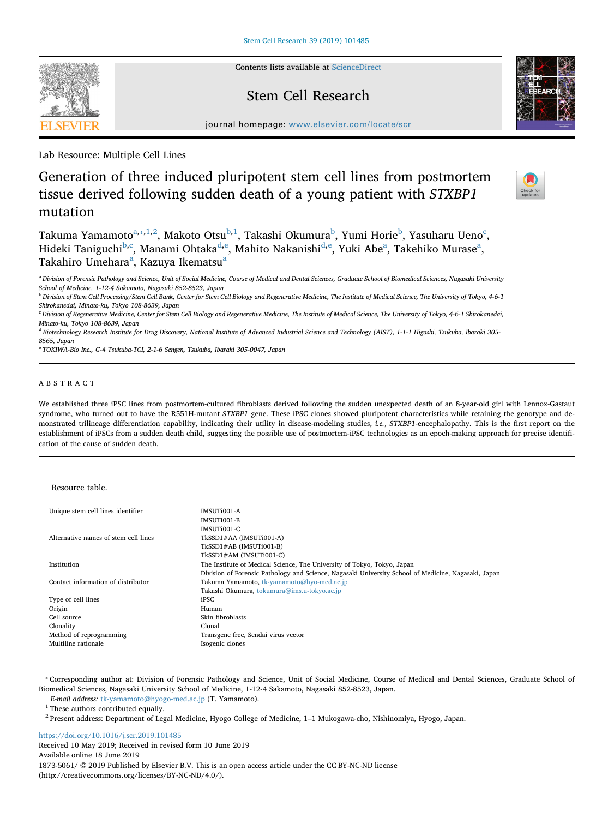Contents lists available at [ScienceDirect](http://www.sciencedirect.com/science/journal/18735061)

# Stem Cell Research

journal homepage: [www.elsevier.com/locate/scr](https://www.elsevier.com/locate/scr)

Lab Resource: Multiple Cell Lines

# Generation of three induced pluripotent stem cell lines from postmortem tissue derived following sudden death of a young patient with *STXBP1* mutation

T[a](#page-0-0)kuma Yamamoto $^{\mathrm{a},\mathrm{*,1,2}},$  $^{\mathrm{a},\mathrm{*,1,2}},$  $^{\mathrm{a},\mathrm{*,1,2}},$  $^{\mathrm{a},\mathrm{*,1,2}},$  Makoto Otsu $^{\mathrm{b},\mathrm{1}},$  $^{\mathrm{b},\mathrm{1}},$  $^{\mathrm{b},\mathrm{1}},$  Takashi Okumura $^{\mathrm{b}}$ , Yumi Horie $^{\mathrm{b}}$ , Yasuharu Ueno $^{\mathrm{c}}$  $^{\mathrm{c}}$  $^{\mathrm{c}}$ , Hideki Taniguchi<sup>[b](#page-0-4)[,c](#page-0-5)</sup>, Manami Ohtaka<sup>[d](#page-0-6),[e](#page-0-7)</sup>, Mahito Nakanishi<sup>d[,e](#page-0-7)</sup>, Yuki Abe<sup>[a](#page-0-0)</sup>, Takehiko Murase<sup>a</sup>, T[a](#page-0-0)kahiro Umehara<sup>a</sup>, Kazuya Ikematsu<sup>a</sup>

<span id="page-0-0"></span><sup>a</sup> *Division of Forensic Pathology and Science, Unit of Social Medicine, Course of Medical and Dental Sciences, Graduate School of Biomedical Sciences, Nagasaki University School of Medicine, 1-12-4 Sakamoto, Nagasaki 852-8523, Japan*

<span id="page-0-4"></span><sup>b</sup> *Division of Stem Cell Processing/Stem Cell Bank, Center for Stem Cell Biology and Regenerative Medicine, The Institute of Medical Science, The University of Tokyo, 4-6-1 Shirokanedai, Minato-ku, Tokyo 108-8639, Japan*

<span id="page-0-5"></span><sup>c</sup> *Division of Regenerative Medicine, Center for Stem Cell Biology and Regenerative Medicine, The Institute of Medical Science, The University of Tokyo, 4-6-1 Shirokanedai, Minato-ku, Tokyo 108-8639, Japan*

<span id="page-0-6"></span><sup>d</sup> *Biotechnology Research Institute for Drug Discovery, National Institute of Advanced Industrial Science and Technology (AIST), 1-1-1 Higashi, Tsukuba, Ibaraki 305- 8565, Japan*

<span id="page-0-7"></span><sup>e</sup> *TOKIWA-Bio Inc., G-4 Tsukuba-TCI, 2-1-6 Sengen, Tsukuba, Ibaraki 305-0047, Japan*

# ABSTRACT

We established three iPSC lines from postmortem-cultured fibroblasts derived following the sudden unexpected death of an 8-year-old girl with Lennox-Gastaut syndrome, who turned out to have the R551H-mutant *STXBP1* gene. These iPSC clones showed pluripotent characteristics while retaining the genotype and demonstrated trilineage differentiation capability, indicating their utility in disease-modeling studies, *i.e.*, *STXBP1*-encephalopathy. This is the first report on the establishment of iPSCs from a sudden death child, suggesting the possible use of postmortem-iPSC technologies as an epoch-making approach for precise identification of the cause of sudden death.

#### Resource table.

| Unique stem cell lines identifier    | <b>IMSUTIO01-A</b>                                                                                  |  |  |
|--------------------------------------|-----------------------------------------------------------------------------------------------------|--|--|
|                                      | <b>IMSUTIO01-B</b>                                                                                  |  |  |
|                                      | IMSUT <sub>i001-C</sub>                                                                             |  |  |
| Alternative names of stem cell lines | TkSSD1#AA (IMSUTi001-A)                                                                             |  |  |
|                                      | TkSSD1#AB (IMSUTi001-B)                                                                             |  |  |
|                                      | TkSSD1#AM (IMSUTi001-C)                                                                             |  |  |
| Institution                          | The Institute of Medical Science, The University of Tokyo, Tokyo, Japan                             |  |  |
|                                      | Division of Forensic Pathology and Science, Nagasaki University School of Medicine, Nagasaki, Japan |  |  |
| Contact information of distributor   | Takuma Yamamoto, tk-yamamoto@hyo-med.ac.jp                                                          |  |  |
|                                      | Takashi Okumura, tokumura@ims.u-tokyo.ac.jp                                                         |  |  |
| Type of cell lines                   | iPSC.                                                                                               |  |  |
| Origin                               | Human                                                                                               |  |  |
| Cell source                          | Skin fibroblasts                                                                                    |  |  |
| Clonality                            | Clonal                                                                                              |  |  |
| Method of reprogramming              | Transgene free, Sendai virus vector                                                                 |  |  |
| Multiline rationale                  | Isogenic clones                                                                                     |  |  |

<span id="page-0-1"></span><sup>⁎</sup> Corresponding author at: Division of Forensic Pathology and Science, Unit of Social Medicine, Course of Medical and Dental Sciences, Graduate School of Biomedical Sciences, Nagasaki University School of Medicine, 1-12-4 Sakamoto, Nagasaki 852-8523, Japan.

<https://doi.org/10.1016/j.scr.2019.101485> Received 10 May 2019; Received in revised form 10 June 2019 Available online 18 June 2019 1873-5061/ © 2019 Published by Elsevier B.V. This is an open access article under the CC BY-NC-ND license (http://creativecommons.org/licenses/BY-NC-ND/4.0/).







*E-mail address:* [tk-yamamoto@hyogo-med.ac.jp](mailto:tk-yamamoto@hyogo-med.ac.jp) (T. Yamamoto).

<span id="page-0-2"></span> $^{\rm 1}$  These authors contributed equally.

<span id="page-0-3"></span><sup>2</sup> Present address: Department of Legal Medicine, Hyogo College of Medicine, 1–1 Mukogawa-cho, Nishinomiya, Hyogo, Japan.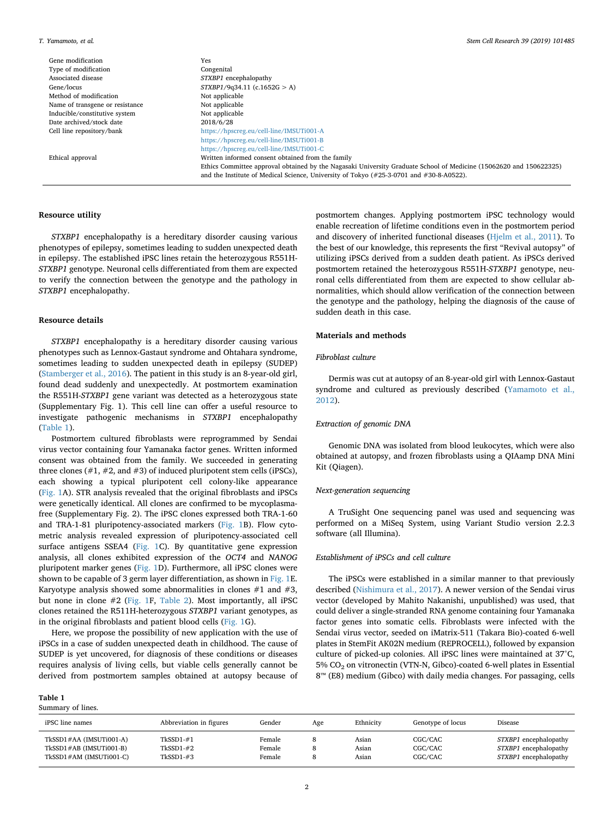Gene modification **Yes** Type of modification Congenital Associated disease *STXBP1* encephalopathy<br>Gene/locus *STXBP1/9034.11* (c.165 Method of modification  $$\rm{Not}\ ^{\rm{m}}$  Not applicable Name of transgene or resistance  $$\rm{Not}\ ^{\rm{m}}$ Name of transgene or resistance Not applicable<br>Inducible/constitutive system Not applicable Inducible/constitutive system Not applicable archived/stock date 2018/6/28 Date archived/stock date<br>Cell line repository/bank

Gene/locus *STXBP1*/9q34.11 (c.1652G > A) <https://hpscreg.eu/cell-line/IMSUTi001-A> <https://hpscreg.eu/cell-line/IMSUTi001-B> <https://hpscreg.eu/cell-line/IMSUTi001-C> Ethical approval Written informed consent obtained from the family Ethics Committee approval obtained by the Nagasaki University Graduate School of Medicine (15062620 and 150622325) and the Institute of Medical Science, University of Tokyo (#25-3-0701 and #30-8-A0522).

# **Resource utility**

*STXBP1* encephalopathy is a hereditary disorder causing various phenotypes of epilepsy, sometimes leading to sudden unexpected death in epilepsy. The established iPSC lines retain the heterozygous R551H-*STXBP1* genotype. Neuronal cells differentiated from them are expected to verify the connection between the genotype and the pathology in *STXBP1* encephalopathy.

#### **Resource details**

*STXBP1* encephalopathy is a hereditary disorder causing various phenotypes such as Lennox-Gastaut syndrome and Ohtahara syndrome, sometimes leading to sudden unexpected death in epilepsy (SUDEP) ([Stamberger et al., 2016\)](#page-4-0). The patient in this study is an 8-year-old girl, found dead suddenly and unexpectedly. At postmortem examination the R551H-*STXBP1* gene variant was detected as a heterozygous state (Supplementary Fig. 1). This cell line can offer a useful resource to investigate pathogenic mechanisms in *STXBP1* encephalopathy ([Table 1](#page-1-0)).

Postmortem cultured fibroblasts were reprogrammed by Sendai virus vector containing four Yamanaka factor genes. Written informed consent was obtained from the family. We succeeded in generating three clones  $(\#1, \#2, \text{ and } \#3)$  of induced pluripotent stem cells (iPSCs), each showing a typical pluripotent cell colony-like appearance ([Fig. 1A](#page-2-0)). STR analysis revealed that the original fibroblasts and iPSCs were genetically identical. All clones are confirmed to be mycoplasmafree (Supplementary Fig. 2). The iPSC clones expressed both TRA-1-60 and TRA-1-81 pluripotency-associated markers ([Fig. 1](#page-2-0)B). Flow cytometric analysis revealed expression of pluripotency-associated cell surface antigens SSEA4 [\(Fig. 1](#page-2-0)C). By quantitative gene expression analysis, all clones exhibited expression of the *OCT4* and *NANOG* pluripotent marker genes [\(Fig. 1D](#page-2-0)). Furthermore, all iPSC clones were shown to be capable of 3 germ layer differentiation, as shown in [Fig. 1E](#page-2-0). Karyotype analysis showed some abnormalities in clones  $#1$  and  $#3$ , but none in clone #2 ([Fig. 1](#page-2-0)F, [Table 2\)](#page-3-0). Most importantly, all iPSC clones retained the R511H-heterozygous *STXBP1* variant genotypes, as in the original fibroblasts and patient blood cells [\(Fig. 1G](#page-2-0)).

Here, we propose the possibility of new application with the use of iPSCs in a case of sudden unexpected death in childhood. The cause of SUDEP is yet uncovered, for diagnosis of these conditions or diseases requires analysis of living cells, but viable cells generally cannot be derived from postmortem samples obtained at autopsy because of

#### <span id="page-1-0"></span>**Table 1**

Summary of lines.

postmortem changes. Applying postmortem iPSC technology would enable recreation of lifetime conditions even in the postmortem period and discovery of inherited functional diseases ([Hjelm et al., 2011\)](#page-4-1). To the best of our knowledge, this represents the first "Revival autopsy" of utilizing iPSCs derived from a sudden death patient. As iPSCs derived postmortem retained the heterozygous R551H-*STXBP1* genotype, neuronal cells differentiated from them are expected to show cellular abnormalities, which should allow verification of the connection between the genotype and the pathology, helping the diagnosis of the cause of sudden death in this case.

#### **Materials and methods**

### *Fibroblast culture*

Dermis was cut at autopsy of an 8-year-old girl with Lennox-Gastaut syndrome and cultured as previously described ([Yamamoto et al.,](#page-4-2) [2012\)](#page-4-2).

#### *Extraction of genomic DNA*

Genomic DNA was isolated from blood leukocytes, which were also obtained at autopsy, and frozen fibroblasts using a QIAamp DNA Mini Kit (Qiagen).

#### *Next-generation sequencing*

A TruSight One sequencing panel was used and sequencing was performed on a MiSeq System, using Variant Studio version 2.2.3 software (all Illumina).

#### *Establishment of iPSCs and cell culture*

The iPSCs were established in a similar manner to that previously described ([Nishimura et al., 2017\)](#page-4-3). A newer version of the Sendai virus vector (developed by Mahito Nakanishi, unpublished) was used, that could deliver a single-stranded RNA genome containing four Yamanaka factor genes into somatic cells. Fibroblasts were infected with the Sendai virus vector, seeded on iMatrix-511 (Takara Bio)-coated 6-well plates in StemFit AK02N medium (REPROCELL), followed by expansion culture of picked-up colonies. All iPSC lines were maintained at 37°C, 5% CO2 on vitronectin (VTN-N, Gibco)-coated 6-well plates in Essential 8™ (E8) medium (Gibco) with daily media changes. For passaging, cells

| iPSC line names         | Abbreviation in figures | Gender | Age | Ethnicity | Genotype of locus | Disease               |
|-------------------------|-------------------------|--------|-----|-----------|-------------------|-----------------------|
| TkSSD1#AA (IMSUTi001-A) | $TkSSD1 - #1$           | Female |     | Asian     | CGC/CAC           | STXBP1 encephalopathy |
| TkSSD1#AB (IMSUTi001-B) | $TkSSD1 - #2$           | Female |     | Asian     | CGC/CAC           | STXBP1 encephalopathy |
| TkSSD1#AM (IMSUTi001-C) | $TkSSD1-#3$             | Female |     | Asian     | CGC/CAC           | STXBP1 encephalopathy |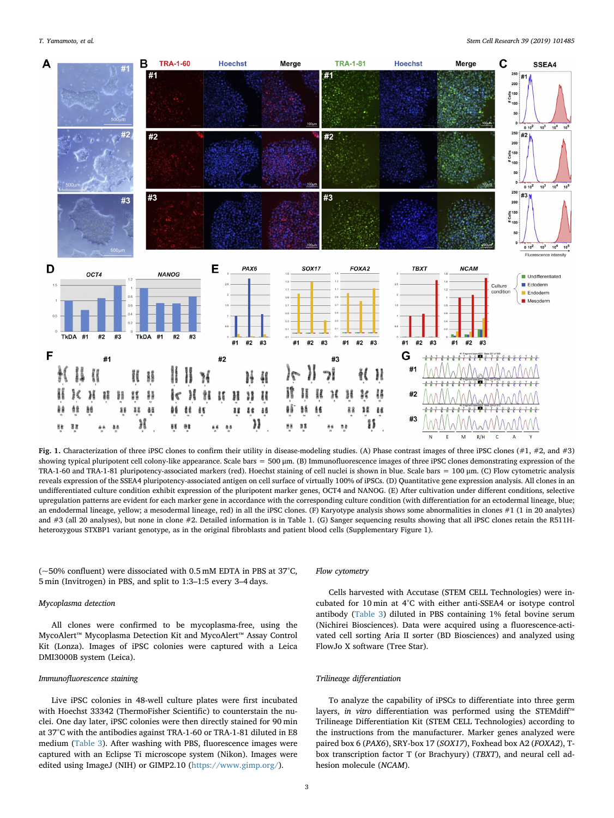<span id="page-2-0"></span>

Fig. 1. Characterization of three iPSC clones to confirm their utility in disease-modeling studies. (A) Phase contrast images of three iPSC clones (#1, #2, and #3) showing typical pluripotent cell colony-like appearance. Scale bars  $= 500 \mu m$ . (B) Immunofluorescence images of three iPSC clones demonstrating expression of the TRA-1-60 and TRA-1-81 pluripotency-associated markers (red). Hoechst staining of cell nuclei is shown in blue. Scale bars = 100 μm. (C) Flow cytometric analysis reveals expression of the SSEA4 pluripotency-associated antigen on cell surface of virtually 100% of iPSCs. (D) Quantitative gene expression analysis. All clones in an undifferentiated culture condition exhibit expression of the pluripotent marker genes, OCT4 and NANOG. (E) After cultivation under different conditions, selective upregulation patterns are evident for each marker gene in accordance with the corresponding culture condition (with differentiation for an ectodermal lineage, blue; an endodermal lineage, yellow; a mesodermal lineage, red) in all the iPSC clones. (F) Karyotype analysis shows some abnormalities in clones #1 (1 in 20 analytes) and #3 (all 20 analyses), but none in clone #2. Detailed information is in Table 1. (G) Sanger sequencing results showing that all iPSC clones retain the R511Hheterozygous STXBP1 variant genotype, as in the original fibroblasts and patient blood cells (Supplementary Figure 1).

(~50% confluent) were dissociated with 0.5 mM EDTA in PBS at 37°C, 5 min (Invitrogen) in PBS, and split to 1:3–1:5 every 3–4 days.

### *Mycoplasma detection*

All clones were confirmed to be mycoplasma-free, using the MycoAlert™ Mycoplasma Detection Kit and MycoAlert™ Assay Control Kit (Lonza). Images of iPSC colonies were captured with a Leica DMI3000B system (Leica).

#### *Immunofluorescence staining*

Live iPSC colonies in 48-well culture plates were first incubated with Hoechst 33342 (ThermoFisher Scientific) to counterstain the nuclei. One day later, iPSC colonies were then directly stained for 90 min at 37°C with the antibodies against TRA-1-60 or TRA-1-81 diluted in E8 medium [\(Table 3](#page-3-1)). After washing with PBS, fluorescence images were captured with an Eclipse Ti microscope system (Nikon). Images were edited using ImageJ (NIH) or GIMP2.10 (<https://www.gimp.org/>).

#### *Flow cytometry*

Cells harvested with Accutase (STEM CELL Technologies) were incubated for 10 min at 4°C with either anti-SSEA4 or isotype control antibody [\(Table 3\)](#page-3-1) diluted in PBS containing 1% fetal bovine serum (Nichirei Biosciences). Data were acquired using a fluorescence-activated cell sorting Aria II sorter (BD Biosciences) and analyzed using FlowJo X software (Tree Star).

#### *Trilineage differentiation*

To analyze the capability of iPSCs to differentiate into three germ layers, *in vitro* differentiation was performed using the STEMdiff™ Trilineage Differentiation Kit (STEM CELL Technologies) according to the instructions from the manufacturer. Marker genes analyzed were paired box 6 (*PAX6*), SRY-box 17 (*SOX17*), Foxhead box A2 (*FOXA2*), Tbox transcription factor T (or Brachyury) (*TBXT*), and neural cell adhesion molecule (*NCAM*).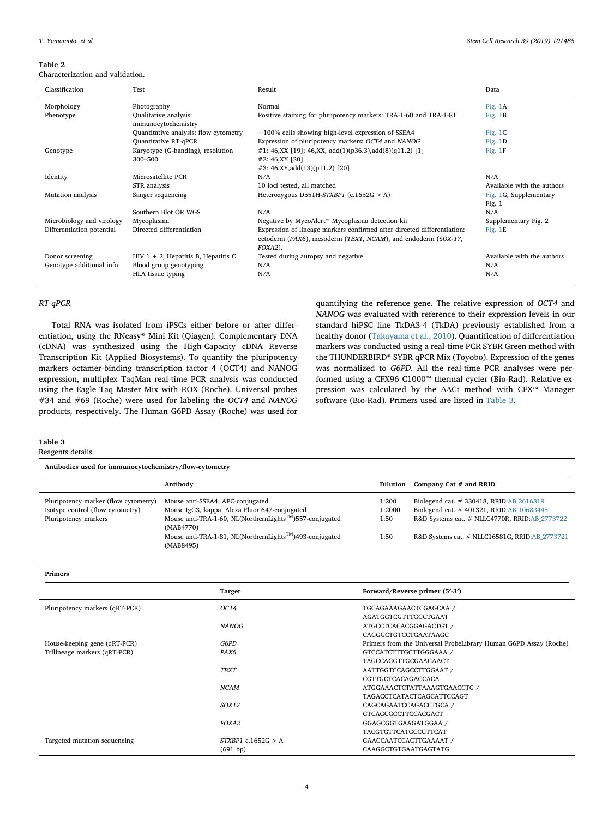#### <span id="page-3-0"></span>**Table 2**

Characterization and validation.

| Classification            | Test                                         | Result                                                                  | Data                       |
|---------------------------|----------------------------------------------|-------------------------------------------------------------------------|----------------------------|
| Morphology                | Photography                                  | Normal                                                                  | Fig. 1A                    |
| Phenotype                 | Qualitative analysis:<br>immunocytochemistry | Positive staining for pluripotency markers: TRA-1-60 and TRA-1-81       | Fig. $1B$                  |
|                           | Quantitative analysis: flow cytometry        | $\sim$ 100% cells showing high-level expression of SSEA4                | Fig. $1C$                  |
|                           | <b>Quantitative RT-qPCR</b>                  | Expression of pluripotency markers: OCT4 and NANOG                      | Fig. $1D$                  |
| Genotype                  | Karyotype (G-banding), resolution            | #1: 46,XX [19]; 46,XX, add(1)(p36.3), add(8)(q11.2) [1]                 | Fig. $1F$                  |
|                           | 300-500                                      | #2: 46, XY [20]                                                         |                            |
|                           |                                              | #3: 46,XY,add(13)(p11.2) [20]                                           |                            |
| Identity                  | Microsatellite PCR                           | N/A                                                                     | N/A                        |
|                           | STR analysis                                 | 10 loci tested, all matched                                             | Available with the authors |
| Mutation analysis         | Sanger sequencing                            | Heterozygous D551H-STXBP1 (c.1652G $> A$ )                              | Fig. 1G, Supplementary     |
|                           |                                              |                                                                         | Fig. 1                     |
|                           | Southern Blot OR WGS                         | N/A                                                                     | N/A                        |
| Microbiology and virology | Mycoplasma                                   | Negative by MycoAlert™ Mycoplasma detection kit                         | Supplementary Fig. 2       |
| Differentiation potential | Directed differentiation                     | Expression of lineage markers confirmed after directed differentiation: | Fig. 1E                    |
|                           |                                              | ectoderm (PAX6), mesoderm (TBXT, NCAM), and endoderm (SOX-17,           |                            |
|                           |                                              | FOXA2).                                                                 |                            |
| Donor screening           | $HIV$ 1 + 2, Hepatitis B, Hepatitis C        | Tested during autopsy and negative                                      | Available with the authors |
| Genotype additional info  | Blood group genotyping                       | N/A                                                                     | N/A                        |
|                           | HLA tissue typing                            | N/A                                                                     | N/A                        |

# *RT-qPCR*

Total RNA was isolated from iPSCs either before or after differentiation, using the RNeasy® Mini Kit (Qiagen). Complementary DNA (cDNA) was synthesized using the High-Capacity cDNA Reverse Transcription Kit (Applied Biosystems). To quantify the pluripotency markers octamer-binding transcription factor 4 (OCT4) and NANOG expression, multiplex TaqMan real-time PCR analysis was conducted using the Eagle Taq Master Mix with ROX (Roche). Universal probes #34 and #69 (Roche) were used for labeling the *OCT4* and *NANOG* products, respectively. The Human G6PD Assay (Roche) was used for

quantifying the reference gene. The relative expression of *OCT4* and *NANOG* was evaluated with reference to their expression levels in our standard hiPSC line TkDA3-4 (TkDA) previously established from a healthy donor ([Takayama et al., 2010](#page-4-4)). Quantification of differentiation markers was conducted using a real-time PCR SYBR Green method with the THUNDERBIRD® SYBR qPCR Mix (Toyobo). Expression of the genes was normalized to *G6PD*. All the real-time PCR analyses were performed using a CFX96 C1000™ thermal cycler (Bio-Rad). Relative expression was calculated by the ΔΔCt method with CFX™ Manager software (Bio-Rad). Primers used are listed in [Table 3](#page-3-1).

#### <span id="page-3-1"></span>**Table 3**

Reagents details.

**Antibodies used for immunocytochemistry/flow-cytometry**

|                                                                                                  | Antibody                                                                                                                                                               | Dilution                | Company Cat $#$ and RRID                                                                                                              |
|--------------------------------------------------------------------------------------------------|------------------------------------------------------------------------------------------------------------------------------------------------------------------------|-------------------------|---------------------------------------------------------------------------------------------------------------------------------------|
| Pluripotency marker (flow cytometry)<br>Isotype control (flow cytometry)<br>Pluripotency markers | Mouse anti-SSEA4, APC-conjugated<br>Mouse IgG3, kappa, Alexa Fluor 647-conjugated<br>Mouse anti-TRA-1-60, NL(NorthernLights <sup>TM</sup> )557-conjugated<br>(MAB4770) | 1:200<br>1:2000<br>1:50 | Biolegend cat. # 330418, RRID:AB_2616819<br>Biolegend cat. #401321, RRID:AB 10683445<br>R&D Systems cat. # NLLC4770R, RRID:AB 2773722 |
|                                                                                                  | Mouse anti-TRA-1-81, NL(NorthernLights <sup>TM</sup> )493-conjugated<br>(MAB8495)                                                                                      | 1:50                    | R&D Systems cat. # NLLC16581G, RRID:AB 2773721                                                                                        |

**Primers**

|                                | <b>Target</b>        | Forward/Reverse primer (5'-3')                                   |
|--------------------------------|----------------------|------------------------------------------------------------------|
| Pluripotency markers (qRT-PCR) | OCT4                 | TGCAGAAAGAACTCGAGCAA /                                           |
|                                |                      | AGATGGTCGTTTGGCTGAAT                                             |
|                                | <b>NANOG</b>         | ATGCCTCACACGGAGACTGT /                                           |
|                                |                      | CAGGGCTGTCCTGAATAAGC                                             |
| House-keeping gene (qRT-PCR)   | G6PD                 | Primers from the Universal ProbeLibrary Human G6PD Assay (Roche) |
| Trilineage markers (qRT-PCR)   | PAX6                 | GTCCATCTTTGCTTGGGAAA /                                           |
|                                |                      | TAGCCAGGTTGCGAAGAACT                                             |
|                                | <b>TBXT</b>          | AATTGGTCCAGCCTTGGAAT /                                           |
|                                |                      | <b>CGTTGCTCACAGACCACA</b>                                        |
|                                | <b>NCAM</b>          | ATGGAAACTCTATTAAAGTGAACCTG /                                     |
|                                |                      | <b>TAGACCTCATACTCAGCATTCCAGT</b>                                 |
|                                | SOX17                | CAGCAGAATCCAGACCTGCA /                                           |
|                                |                      | GTCAGCGCCTTCCACGACT                                              |
|                                | FOXA2                | GGAGCGGTGAAGATGGAA /                                             |
|                                |                      | TACGTGTTCATGCCGTTCAT                                             |
| Targeted mutation sequencing   | $STXBP1$ c.1652G > A | GAACCAATCCACTTGAAAAT /                                           |
|                                | (691 bp)             | CAAGGCTGTGAATGAGTATG                                             |